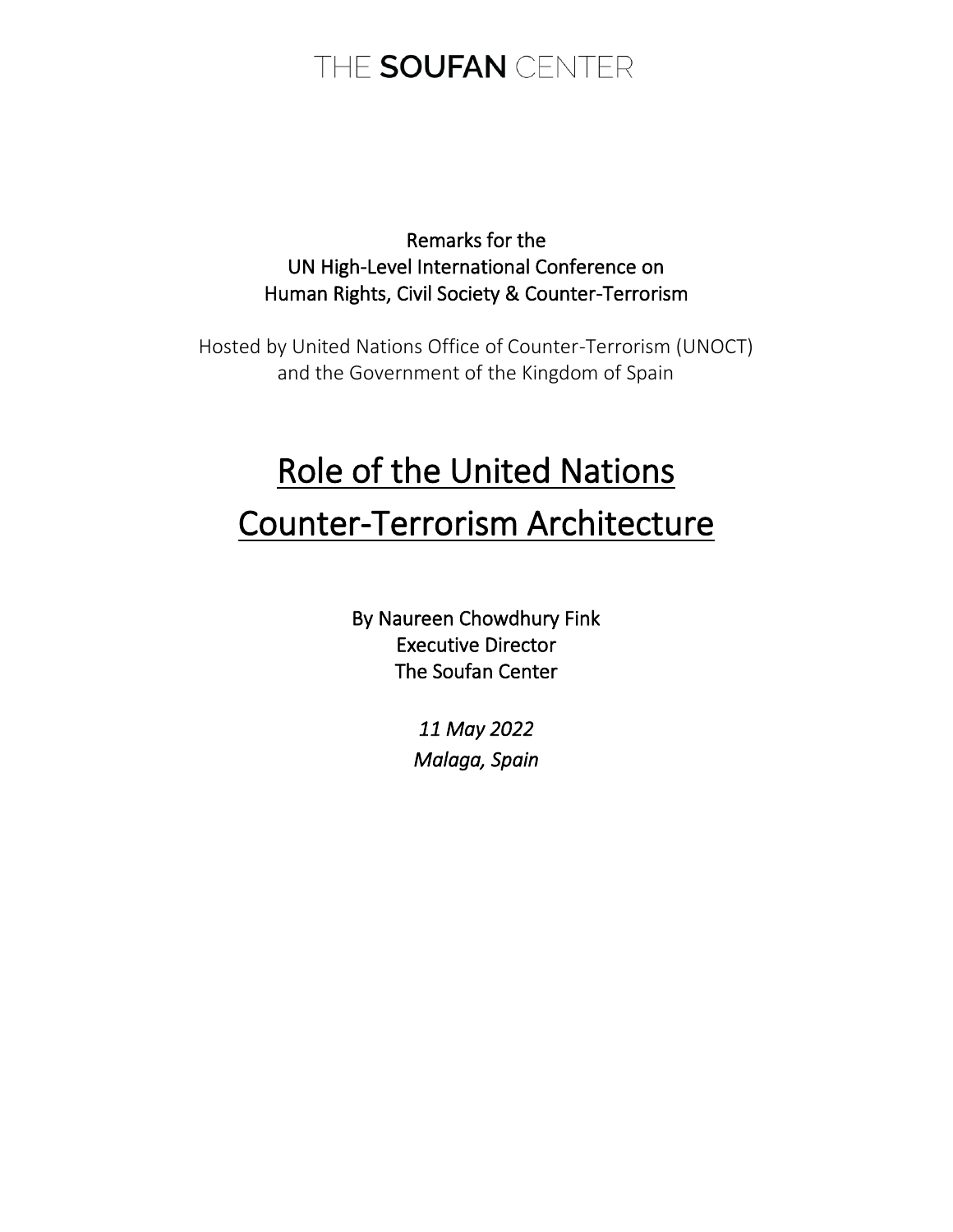Remarks for the UN High-Level International Conference on Human Rights, Civil Society & Counter-Terrorism

Hosted by United Nations Office of Counter-Terrorism (UNOCT) and the Government of the Kingdom of Spain

# Role of the United Nations Counter-Terrorism Architecture

By Naureen Chowdhury Fink Executive Director The Soufan Center

> *11 May 2022 Malaga, Spain*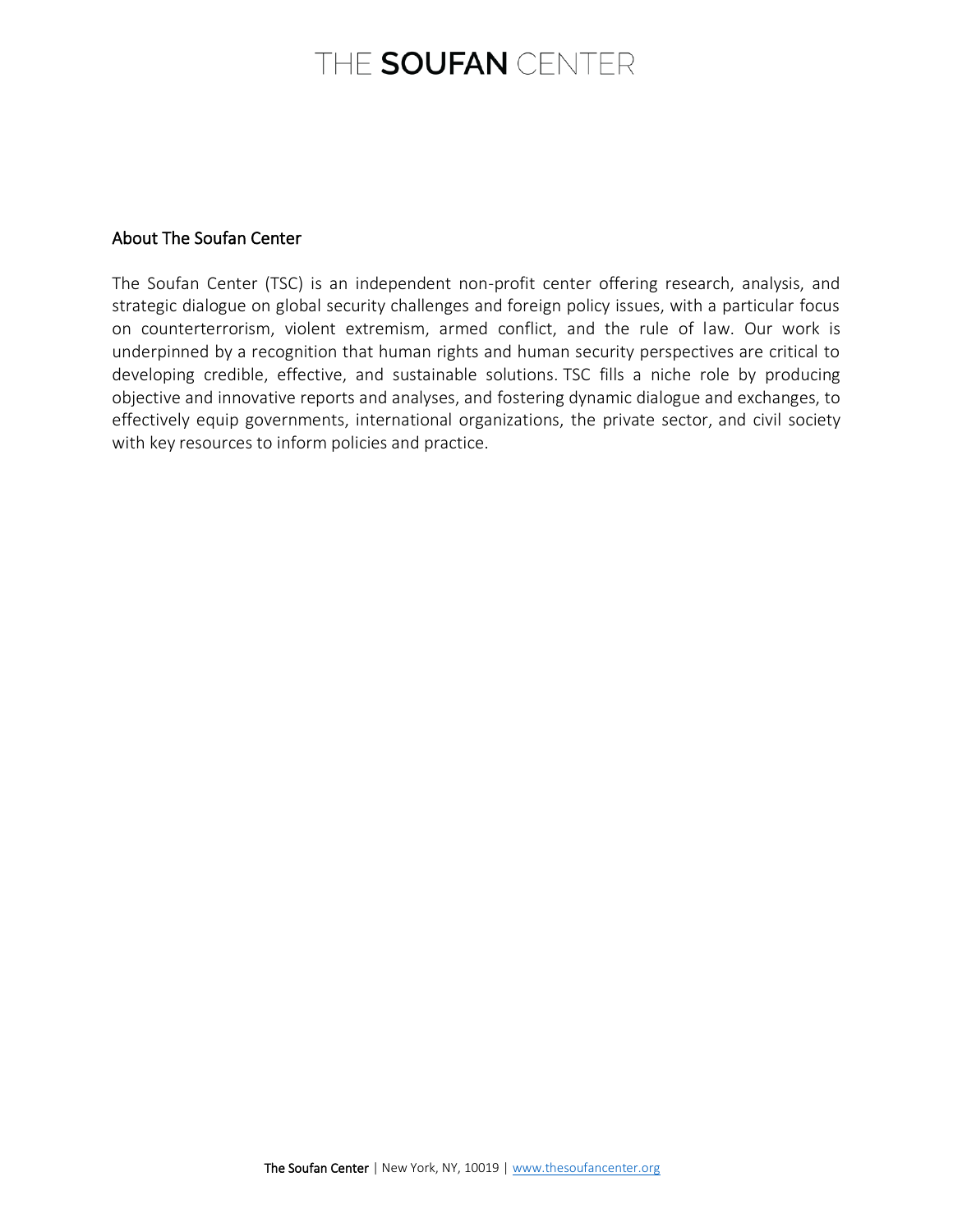#### About The Soufan Center

The Soufan Center (TSC) is an independent non-profit center offering research, analysis, and strategic dialogue on global security challenges and foreign policy issues, with a particular focus on counterterrorism, violent extremism, armed conflict, and the rule of law. Our work is underpinned by a recognition that human rights and human security perspectives are critical to developing credible, effective, and sustainable solutions. TSC fills a niche role by producing objective and innovative reports and analyses, and fostering dynamic dialogue and exchanges, to effectively equip governments, international organizations, the private sector, and civil society with key resources to inform policies and practice.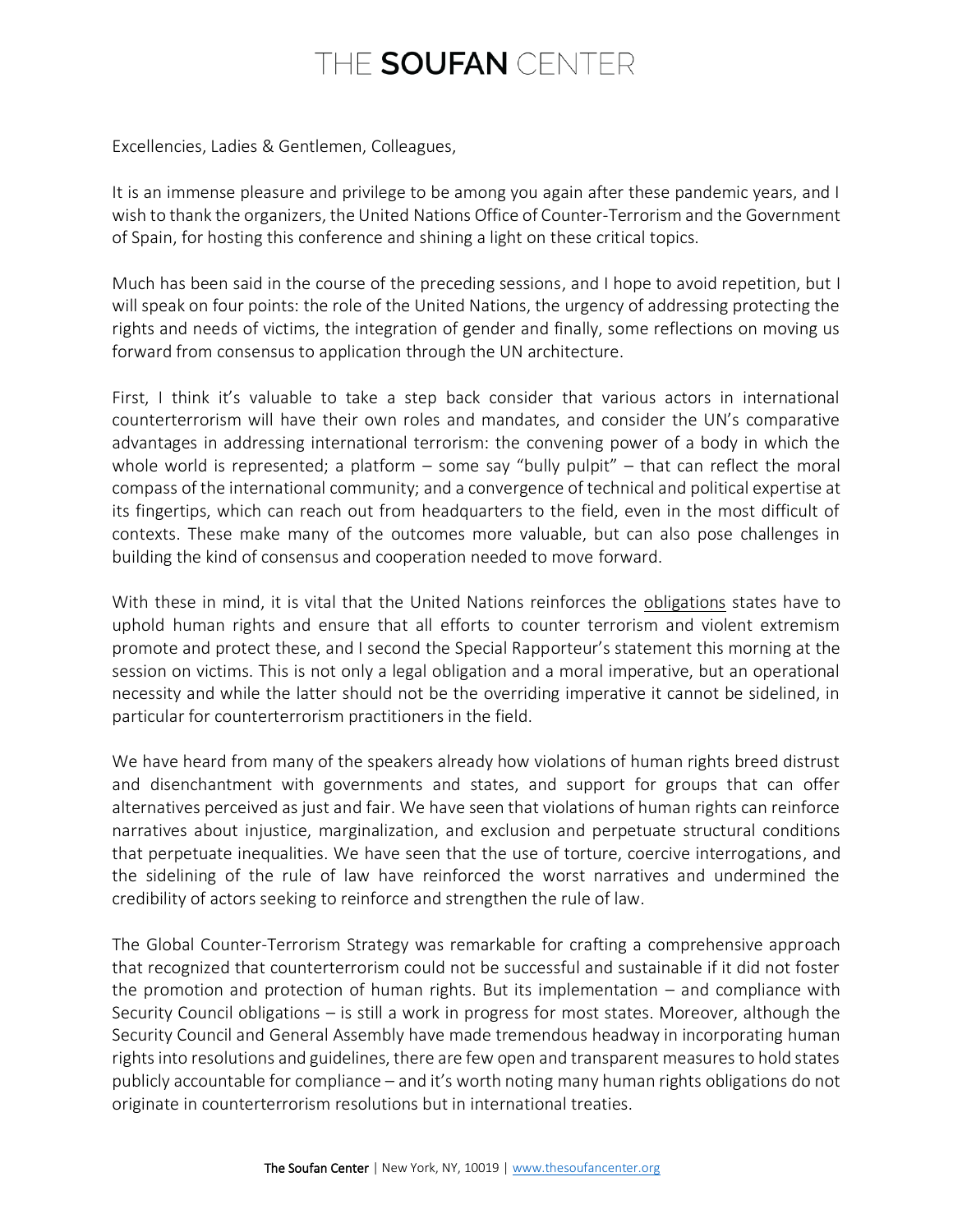Excellencies, Ladies & Gentlemen, Colleagues,

It is an immense pleasure and privilege to be among you again after these pandemic years, and I wish to thank the organizers, the United Nations Office of Counter-Terrorism and the Government of Spain, for hosting this conference and shining a light on these critical topics.

Much has been said in the course of the preceding sessions, and I hope to avoid repetition, but I will speak on four points: the role of the United Nations, the urgency of addressing protecting the rights and needs of victims, the integration of gender and finally, some reflections on moving us forward from consensus to application through the UN architecture.

First, I think it's valuable to take a step back consider that various actors in international counterterrorism will have their own roles and mandates, and consider the UN's comparative advantages in addressing international terrorism: the convening power of a body in which the whole world is represented; a platform  $-$  some say "bully pulpit"  $-$  that can reflect the moral compass of the international community; and a convergence of technical and political expertise at its fingertips, which can reach out from headquarters to the field, even in the most difficult of contexts. These make many of the outcomes more valuable, but can also pose challenges in building the kind of consensus and cooperation needed to move forward.

With these in mind, it is vital that the United Nations reinforces the obligations states have to uphold human rights and ensure that all efforts to counter terrorism and violent extremism promote and protect these, and I second the Special Rapporteur's statement this morning at the session on victims. This is not only a legal obligation and a moral imperative, but an operational necessity and while the latter should not be the overriding imperative it cannot be sidelined, in particular for counterterrorism practitioners in the field.

We have heard from many of the speakers already how violations of human rights breed distrust and disenchantment with governments and states, and support for groups that can offer alternatives perceived as just and fair. We have seen that violations of human rights can reinforce narratives about injustice, marginalization, and exclusion and perpetuate structural conditions that perpetuate inequalities. We have seen that the use of torture, coercive interrogations, and the sidelining of the rule of law have reinforced the worst narratives and undermined the credibility of actors seeking to reinforce and strengthen the rule of law.

The Global Counter-Terrorism Strategy was remarkable for crafting a comprehensive approach that recognized that counterterrorism could not be successful and sustainable if it did not foster the promotion and protection of human rights. But its implementation – and compliance with Security Council obligations – is still a work in progress for most states. Moreover, although the Security Council and General Assembly have made tremendous headway in incorporating human rights into resolutions and guidelines, there are few open and transparent measures to hold states publicly accountable for compliance – and it's worth noting many human rights obligations do not originate in counterterrorism resolutions but in international treaties.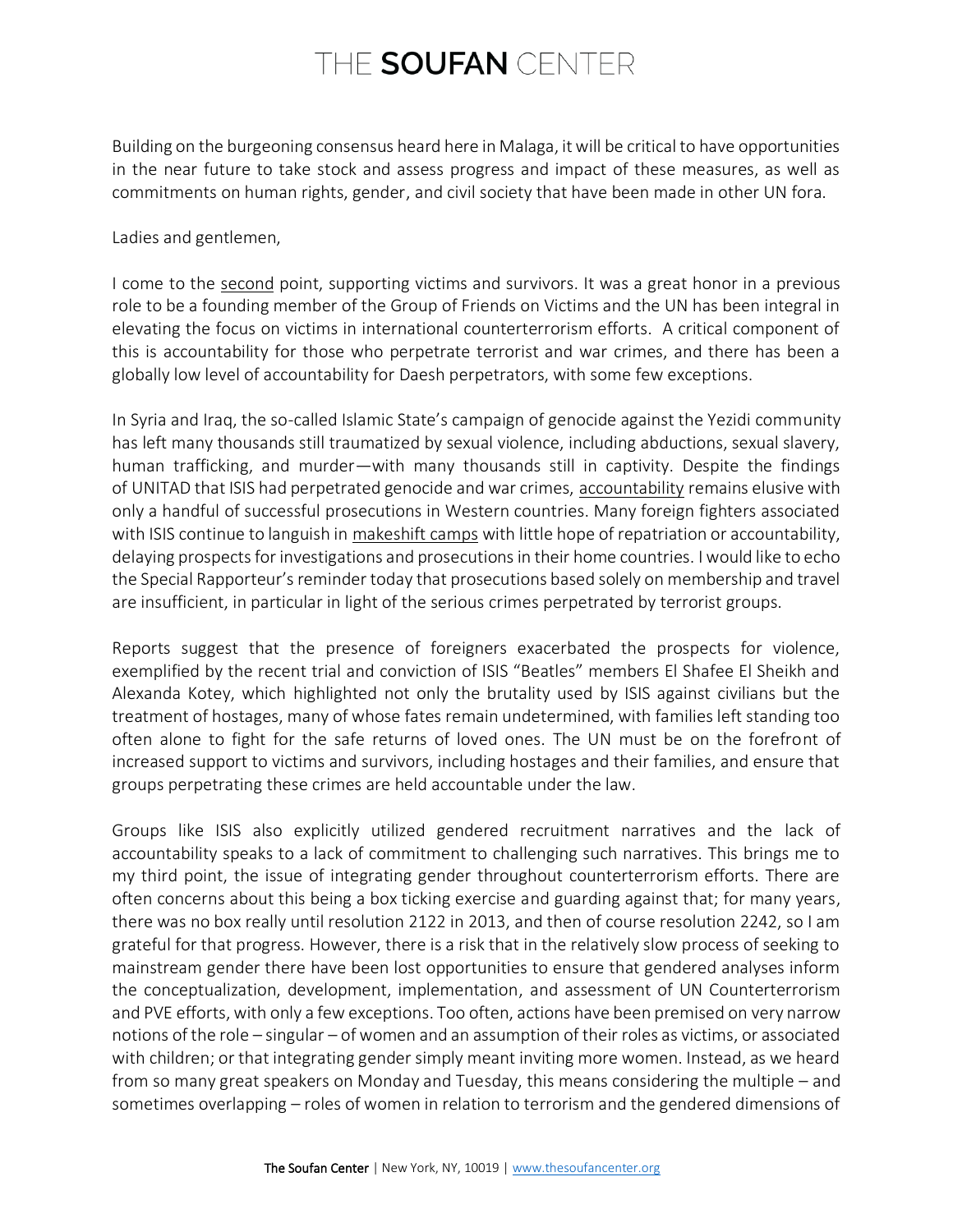Building on the burgeoning consensus heard here in Malaga, it will be critical to have opportunities in the near future to take stock and assess progress and impact of these measures, as well as commitments on human rights, gender, and civil society that have been made in other UN fora.

Ladies and gentlemen,

I come to the second point, supporting victims and survivors. It was a great honor in a previous role to be a founding member of the Group of Friends on Victims and the UN has been integral in elevating the focus on victims in international counterterrorism efforts. A critical component of this is accountability for those who perpetrate terrorist and war crimes, and there has been a globally low level of accountability for Daesh perpetrators, with some few exceptions.

In Syria and Iraq, the so-called Islamic State's campaign of genocide against the Yezidi community has left many thousands still traumatized by sexual violence, including abductions, sexual slavery, human trafficking, and murder—with many thousands still in captivity. Despite the findings of [UNITAD](https://thesoufancenter.org/intelbrief-2022-february-7/) that ISIS had perpetrated genocide and war crimes, [accountability](https://thesoufancenter.org/wp-content/uploads/2021/06/TSC-Issue-Brief_Bringing-Terrorists-to-Justice_June-2021.pdf) remains elusive with only a handful of successful prosecutions in Western countries. Many foreign fighters associated with ISIS continue to languish in [makeshift camps](https://thesoufancenter.org/intelbrief-2021-november-1/) with little hope of repatriation or accountability, delaying prospects for investigations and prosecutions in their home countries. I would like to echo the Special Rapporteur's reminder today that prosecutions based solely on membership and travel are insufficient, in particular in light of the serious crimes perpetrated by terrorist groups.

Reports suggest that the presence of foreigners exacerbated the prospects for violence, exemplified by the recent trial and conviction of ISIS "Beatles" members El Shafee El Sheikh and Alexanda Kotey, which highlighted not only the brutality used by ISIS against civilians but the treatment of hostages, many of whose fates remain undetermined, with families left standing too often alone to fight for the safe returns of loved ones. The UN must be on the forefront of increased support to victims and survivors, including hostages and their families, and ensure that groups perpetrating these crimes are held accountable under the law.

Groups like ISIS also explicitly utilized gendered recruitment narratives and the lack of accountability speaks to a lack of commitment to challenging such narratives. This brings me to my third point, the issue of integrating gender throughout counterterrorism efforts. There are often concerns about this being a box ticking exercise and guarding against that; for many years, there was no box really until resolution 2122 in 2013, and then of course resolution 2242, so I am grateful for that progress. However, there is a risk that in the relatively slow process of seeking to mainstream gender there have been lost opportunities to ensure that gendered analyses inform the conceptualization, development, implementation, and assessment of UN Counterterrorism and PVE efforts, with only a few exceptions. Too often, actions have been premised on very narrow notions of the role – singular – of women and an assumption of their roles as victims, or associated with children; or that integrating gender simply meant inviting more women. Instead, as we heard from so many great speakers on Monday and Tuesday, this means considering the multiple – and sometimes overlapping – roles of women in relation to terrorism and the gendered dimensions of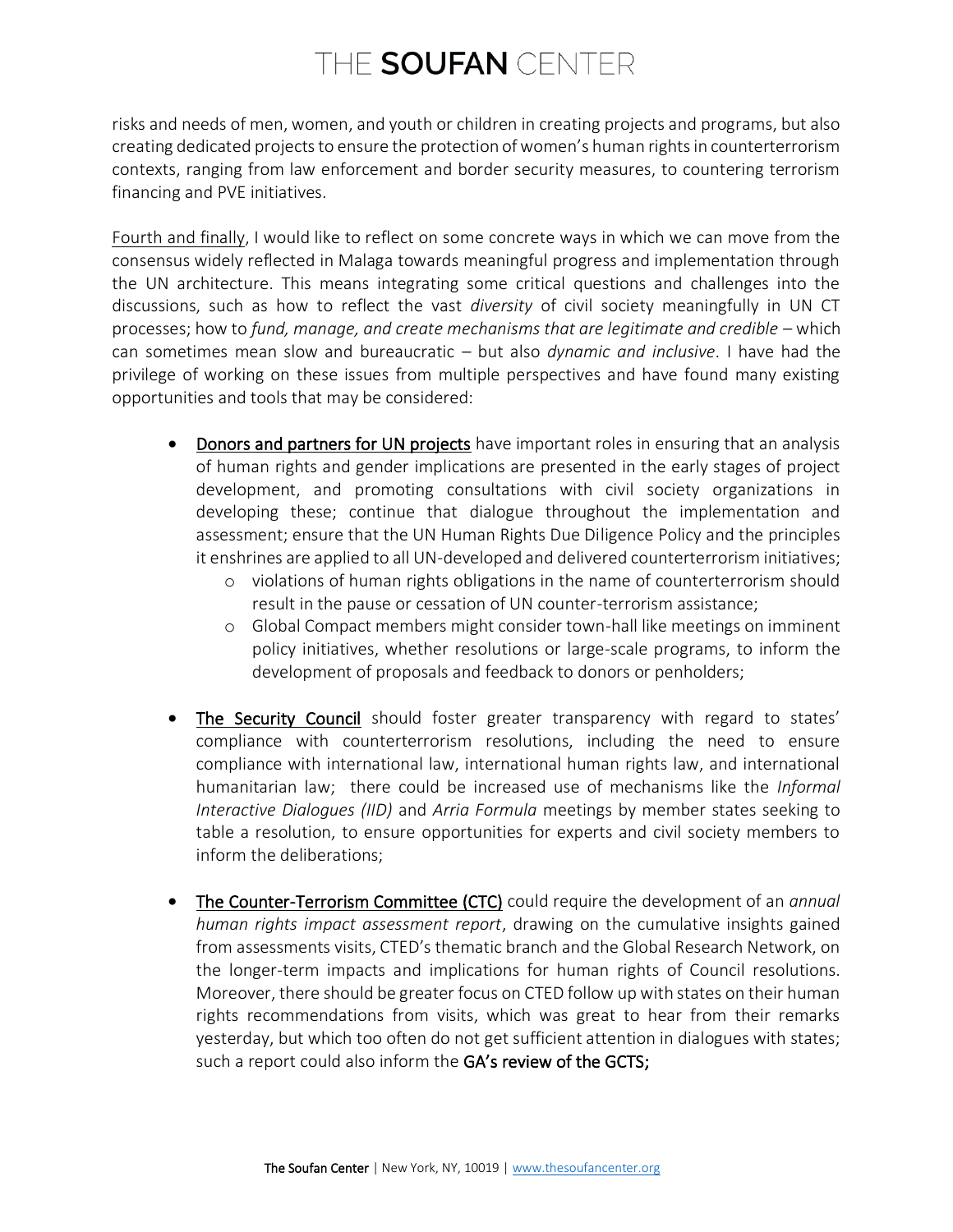risks and needs of men, women, and youth or children in creating projects and programs, but also creating dedicated projects to ensure the protection of women's human rights in counterterrorism contexts, ranging from law enforcement and border security measures, to countering terrorism financing and PVE initiatives.

Fourth and finally, I would like to reflect on some concrete ways in which we can move from the consensus widely reflected in Malaga towards meaningful progress and implementation through the UN architecture. This means integrating some critical questions and challenges into the discussions, such as how to reflect the vast *diversity* of civil society meaningfully in UN CT processes; how to *fund, manage, and create mechanisms that are legitimate and credible* – which can sometimes mean slow and bureaucratic – but also *dynamic and inclusive*. I have had the privilege of working on these issues from multiple perspectives and have found many existing opportunities and tools that may be considered:

- Donors and partners for UN projects have important roles in ensuring that an analysis of human rights and gender implications are presented in the early stages of project development, and promoting consultations with civil society organizations in developing these; continue that dialogue throughout the implementation and assessment; ensure that the UN Human Rights Due Diligence Policy and the principles it enshrines are applied to all UN-developed and delivered counterterrorism initiatives;
	- o violations of human rights obligations in the name of counterterrorism should result in the pause or cessation of UN counter-terrorism assistance;
	- o Global Compact members might consider town-hall like meetings on imminent policy initiatives, whether resolutions or large-scale programs, to inform the development of proposals and feedback to donors or penholders;
- The Security Council should foster greater transparency with regard to states' compliance with counterterrorism resolutions, including the need to ensure compliance with international law, international human rights law, and international humanitarian law; there could be increased use of mechanisms like the *Informal Interactive Dialogues (IID)* and *Arria Formula* meetings by member states seeking to table a resolution, to ensure opportunities for experts and civil society members to inform the deliberations;
- The Counter-Terrorism Committee (CTC) could require the development of an *annual human rights impact assessment report*, drawing on the cumulative insights gained from assessments visits, CTED's thematic branch and the Global Research Network, on the longer-term impacts and implications for human rights of Council resolutions. Moreover, there should be greater focus on CTED follow up with states on their human rights recommendations from visits, which was great to hear from their remarks yesterday, but which too often do not get sufficient attention in dialogues with states; such a report could also inform the GA's review of the GCTS;